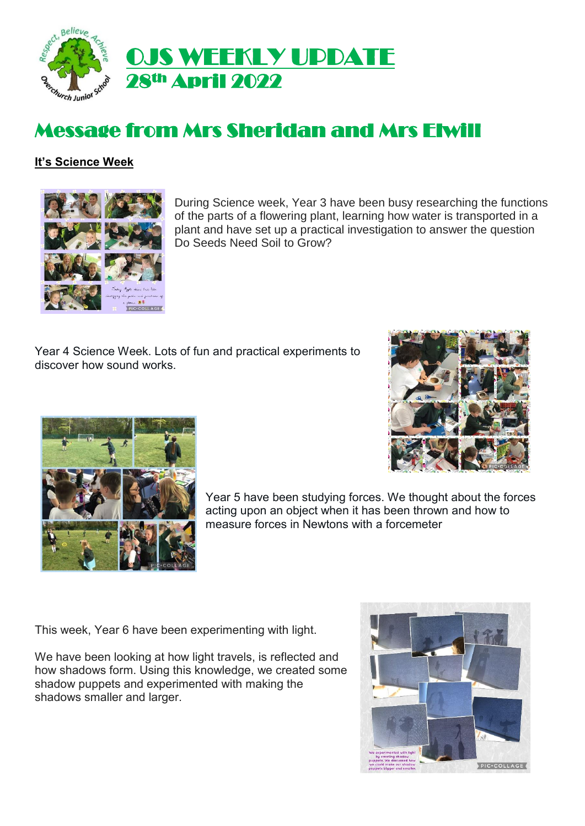

# Message from Mrs Sheridan and Mrs Elwill

### **It's Science Week**



During Science week, Year 3 have been busy researching the functions of the parts of a flowering plant, learning how water is transported in a plant and have set up a practical investigation to answer the question Do Seeds Need Soil to Grow?

Year 4 Science Week. Lots of fun and practical experiments to discover how sound works.





Year 5 have been studying forces. We thought about the forces acting upon an object when it has been thrown and how to measure forces in Newtons with a forcemeter

This week, Year 6 have been experimenting with light.

We have been looking at how light travels, is reflected and how shadows form. Using this knowledge, we created some shadow puppets and experimented with making the shadows smaller and larger.

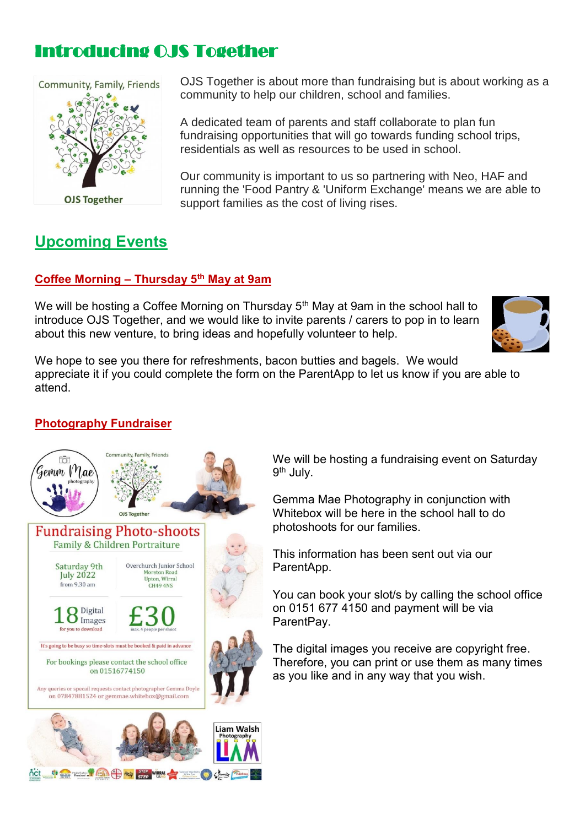## Introducing OJS Together



**Upcoming Events** Ι

OJS Together is about more than fundraising but is about working as a community to help our children, school and families.

A dedicated team of parents and staff collaborate to plan fun fundraising opportunities that will go towards funding school trips, residentials as well as resources to be used in school.

Our community is important to us so partnering with Neo, HAF and running the 'Food Pantry & 'Uniform Exchange' means we are able to support families as the cost of living rises.

### **Coffee Morning – Thursday 5th May at 9am**

We will be hosting a Coffee Morning on Thursday 5<sup>th</sup> May at 9am in the school hall to introduce OJS Together, and we would like to invite parents / carers to pop in to learn about this new venture, to bring ideas and hopefully volunteer to help.



We hope to see you there for refreshments, bacon butties and bagels. We would appreciate it if you could complete the form on the ParentApp to let us know if you are able to attend.

### **Photography Fundraiser**



We will be hosting a fundraising event on Saturday 9<sup>th</sup> July.

Gemma Mae Photography in conjunction with Whitebox will be here in the school hall to do photoshoots for our families.

This information has been sent out via our ParentApp.

You can book your slot/s by calling the school office on 0151 677 4150 and payment will be via ParentPay.

The digital images you receive are copyright free. Therefore, you can print or use them as many times as you like and in any way that you wish.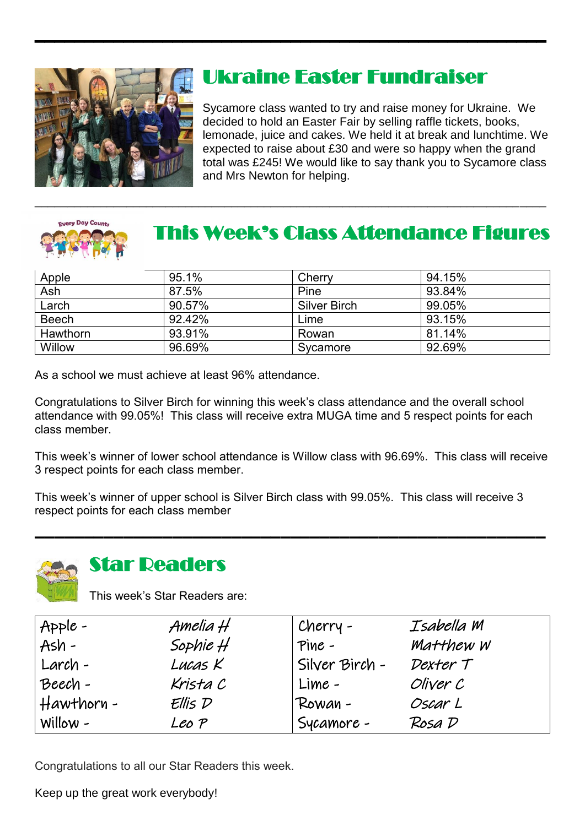

# Ukraine Easter Fundraiser

Sycamore class wanted to try and raise money for Ukraine. We decided to hold an Easter Fair by selling raffle tickets, books, lemonade, juice and cakes. We held it at break and lunchtime. We expected to raise about £30 and were so happy when the grand total was £245! We would like to say thank you to Sycamore class and Mrs Newton for helping.



# This Week's Class Attendance Figures

| Apple           | 95.1%  | Cherry       | 94.15% |
|-----------------|--------|--------------|--------|
| Ash             | 87.5%  | Pine         | 93.84% |
| Larch           | 90.57% | Silver Birch | 99.05% |
| <b>Beech</b>    | 92.42% | Lime         | 93.15% |
| <b>Hawthorn</b> | 93.91% | Rowan        | 81.14% |
| Willow          | 96.69% | Sycamore     | 92.69% |

\_\_\_\_\_\_\_\_\_\_\_\_\_\_\_\_\_\_\_\_\_\_\_\_\_\_\_\_\_\_\_\_\_\_\_\_\_\_\_\_\_\_\_\_\_\_\_\_\_\_\_\_\_\_\_\_\_\_\_\_\_\_\_\_\_\_\_\_\_\_\_\_\_\_\_\_\_\_

As a school we must achieve at least 96% attendance.

Congratulations to Silver Birch for winning this week's class attendance and the overall school attendance with 99.05%! This class will receive extra MUGA time and 5 respect points for each class member.

This week's winner of lower school attendance is Willow class with 96.69%. This class will receive 3 respect points for each class member.

This week's winner of upper school is Silver Birch class with 99.05%. This class will receive 3 respect points for each class member  $\mathcal{L}_\text{max} = \mathcal{L}_\text{max} = \mathcal{L}_\text{max} = \mathcal{L}_\text{max} = \mathcal{L}_\text{max} = \mathcal{L}_\text{max} = \mathcal{L}_\text{max} = \mathcal{L}_\text{max} = \mathcal{L}_\text{max} = \mathcal{L}_\text{max} = \mathcal{L}_\text{max} = \mathcal{L}_\text{max} = \mathcal{L}_\text{max} = \mathcal{L}_\text{max} = \mathcal{L}_\text{max} = \mathcal{L}_\text{max} = \mathcal{L}_\text{max} = \mathcal{L}_\text{max} = \mathcal{$ 



### **Star Deaders**

This week's Star Readers are:

| $Apple -$    | Amelia H   | Cherry -         | Isabella M |
|--------------|------------|------------------|------------|
| $Ash -$      | Sophie $H$ | $Pine -$         | Matthew W  |
| Larch -      | Lucas K    | ' Silver Birch - | Dexter T   |
| Beech-       | Krista C   | Lime -           | Oliver C   |
| $Hawthorn -$ | Ellis D    | Rowan -          | Oscar L    |
| $Willow -$   | Leo P      | Sycamore -       | Rosa D     |

Congratulations to all our Star Readers this week.

Keep up the great work everybody!